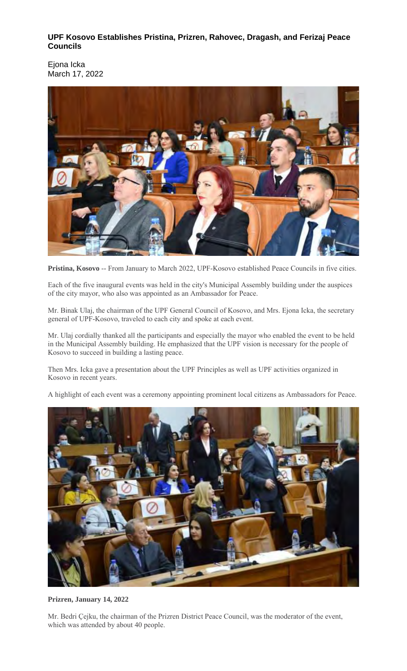# **UPF Kosovo Establishes Pristina, Prizren, Rahovec, Dragash, and Ferizaj Peace Councils**

Ejona Icka March 17, 2022



**Pristina, Kosovo** -- From January to March 2022, UPF-Kosovo established Peace Councils in five cities.

Each of the five inaugural events was held in the city's Municipal Assembly building under the auspices of the city mayor, who also was appointed as an Ambassador for Peace.

Mr. Binak Ulaj, the chairman of the UPF General Council of Kosovo, and Mrs. Ejona Icka, the secretary general of UPF-Kosovo, traveled to each city and spoke at each event.

Mr. Ulaj cordially thanked all the participants and especially the mayor who enabled the event to be held in the Municipal Assembly building. He emphasized that the UPF vision is necessary for the people of Kosovo to succeed in building a lasting peace.

Then Mrs. Icka gave a presentation about the UPF Principles as well as UPF activities organized in Kosovo in recent years.

A highlight of each event was a ceremony appointing prominent local citizens as Ambassadors for Peace.



## **Prizren, January 14, 2022**

Mr. Bedri Çejku, the chairman of the Prizren District Peace Council, was the moderator of the event, which was attended by about 40 people.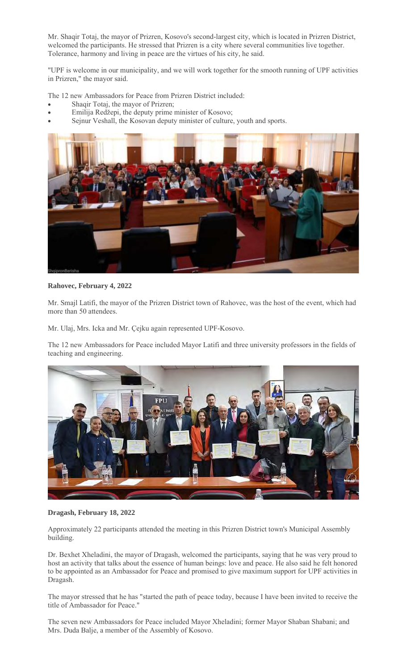Mr. Shaqir Totaj, the mayor of Prizren, Kosovo's second-largest city, which is located in Prizren District, welcomed the participants. He stressed that Prizren is a city where several communities live together. Tolerance, harmony and living in peace are the virtues of his city, he said.

"UPF is welcome in our municipality, and we will work together for the smooth running of UPF activities in Prizren," the mayor said.

The 12 new Ambassadors for Peace from Prizren District included:

- Shaqir Totaj, the mayor of Prizren;
- Emilija Redžepi, the deputy prime minister of Kosovo;
- Sejnur Veshall, the Kosovan deputy minister of culture, youth and sports.



**Rahovec, February 4, 2022**

Mr. Smajl Latifi, the mayor of the Prizren District town of Rahovec, was the host of the event, which had more than 50 attendees.

Mr. Ulaj, Mrs. Icka and Mr. Çejku again represented UPF-Kosovo.

The 12 new Ambassadors for Peace included Mayor Latifi and three university professors in the fields of teaching and engineering.



**Dragash, February 18, 2022**

Approximately 22 participants attended the meeting in this Prizren District town's Municipal Assembly building.

Dr. Bexhet Xheladini, the mayor of Dragash, welcomed the participants, saying that he was very proud to host an activity that talks about the essence of human beings: love and peace. He also said he felt honored to be appointed as an Ambassador for Peace and promised to give maximum support for UPF activities in Dragash.

The mayor stressed that he has "started the path of peace today, because I have been invited to receive the title of Ambassador for Peace."

The seven new Ambassadors for Peace included Mayor Xheladini; former Mayor Shaban Shabani; and Mrs. Duda Balje, a member of the Assembly of Kosovo.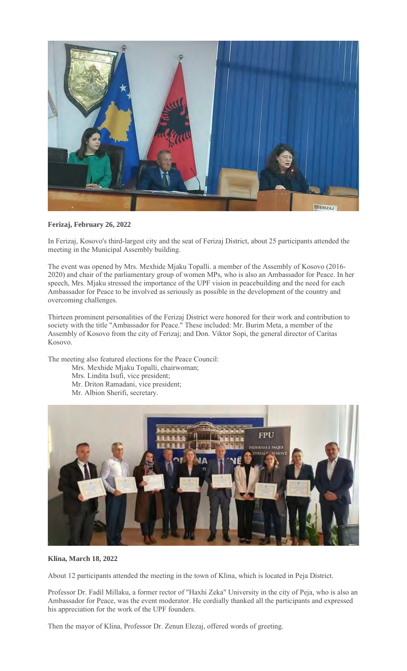

**Ferizaj, February 26, 2022**

In Ferizaj, Kosovo's third-largest city and the seat of Ferizaj District, about 25 participants attended the meeting in the Municipal Assembly building.

The event was opened by Mrs. Mexhide Mjaku Topalli. a member of the Assembly of Kosovo (2016- 2020) and chair of the parliamentary group of women MPs, who is also an Ambassador for Peace. In her speech, Mrs. Mjaku stressed the importance of the UPF vision in peacebuilding and the need for each Ambassador for Peace to be involved as seriously as possible in the development of the country and overcoming challenges.

Thirteen prominent personalities of the Ferizaj District were honored for their work and contribution to society with the title "Ambassador for Peace." These included: Mr. Burim Meta, a member of the Assembly of Kosovo from the city of Ferizaj; and Don. Viktor Sopi, the general director of Caritas Kosovo.

The meeting also featured elections for the Peace Council:

- Mrs. Mexhide Mjaku Topalli, chairwoman;
- Mrs. Lindita Isufi, vice president;
- Mr. Driton Ramadani, vice president;
- Mr. Albion Sherifi, secretary.



#### **Klina, March 18, 2022**

About 12 participants attended the meeting in the town of Klina, which is located in Peja District.

Professor Dr. Fadil Millaku, a former rector of "Haxhi Zeka" University in the city of Peja, who is also an Ambassador for Peace, was the event moderator. He cordially thanked all the participants and expressed his appreciation for the work of the UPF founders.

Then the mayor of Klina, Professor Dr. Zenun Elezaj, offered words of greeting.